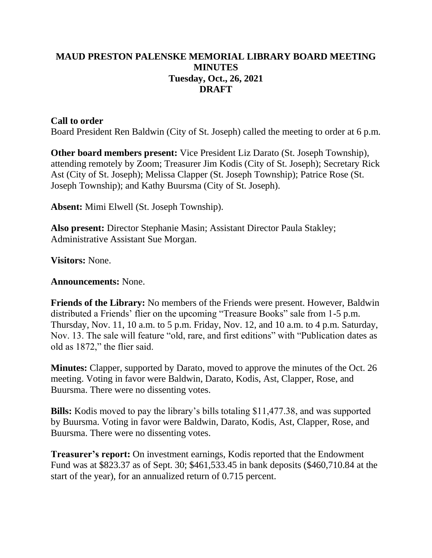## **MAUD PRESTON PALENSKE MEMORIAL LIBRARY BOARD MEETING MINUTES Tuesday, Oct., 26, 2021 DRAFT**

## **Call to order**

Board President Ren Baldwin (City of St. Joseph) called the meeting to order at 6 p.m.

**Other board members present:** Vice President Liz Darato (St. Joseph Township), attending remotely by Zoom; Treasurer Jim Kodis (City of St. Joseph); Secretary Rick Ast (City of St. Joseph); Melissa Clapper (St. Joseph Township); Patrice Rose (St. Joseph Township); and Kathy Buursma (City of St. Joseph).

**Absent:** Mimi Elwell (St. Joseph Township).

**Also present:** Director Stephanie Masin; Assistant Director Paula Stakley; Administrative Assistant Sue Morgan.

**Visitors:** None.

**Announcements:** None.

**Friends of the Library:** No members of the Friends were present. However, Baldwin distributed a Friends' flier on the upcoming "Treasure Books" sale from 1-5 p.m. Thursday, Nov. 11, 10 a.m. to 5 p.m. Friday, Nov. 12, and 10 a.m. to 4 p.m. Saturday, Nov. 13. The sale will feature "old, rare, and first editions" with "Publication dates as old as 1872," the flier said.

**Minutes:** Clapper, supported by Darato, moved to approve the minutes of the Oct. 26 meeting. Voting in favor were Baldwin, Darato, Kodis, Ast, Clapper, Rose, and Buursma. There were no dissenting votes.

**Bills:** Kodis moved to pay the library's bills totaling \$11,477.38, and was supported by Buursma. Voting in favor were Baldwin, Darato, Kodis, Ast, Clapper, Rose, and Buursma. There were no dissenting votes.

**Treasurer's report:** On investment earnings, Kodis reported that the Endowment Fund was at \$823.37 as of Sept. 30; \$461,533.45 in bank deposits (\$460,710.84 at the start of the year), for an annualized return of 0.715 percent.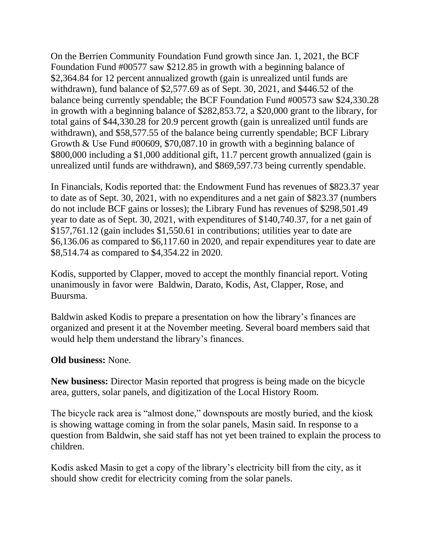On the Berrien Community Foundation Fund growth since Jan. 1, 2021, the BCF Foundation Fund #00577 saw \$212.85 in growth with a beginning balance of \$2,364.84 for 12 percent annualized growth (gain is unrealized until funds are withdrawn), fund balance of \$2,577.69 as of Sept. 30, 2021, and \$446.52 of the balance being currently spendable; the BCF Foundation Fund #00573 saw \$24,330.28 in growth with a beginning balance of \$282,853.72, a \$20,000 grant to the library, for total gains of \$44,330.28 for 20.9 percent growth (gain is unrealized until funds are withdrawn), and \$58,577.55 of the balance being currently spendable; BCF Library Growth & Use Fund #00609, \$70,087.10 in growth with a beginning balance of \$800,000 including a \$1,000 additional gift, 11.7 percent growth annualized (gain is unrealized until funds are withdrawn), and \$869,597.73 being currently spendable.

In Financials, Kodis reported that: the Endowment Fund has revenues of \$823.37 year to date as of Sept. 30, 2021, with no expenditures and a net gain of \$823.37 (numbers do not include BCF gains or losses); the Library Fund has revenues of \$298,501.49 year to date as of Sept. 30, 2021, with expenditures of \$140,740.37, for a net gain of \$157,761.12 (gain includes \$1,550.61 in contributions; utilities year to date are \$6,136.06 as compared to \$6,117.60 in 2020, and repair expenditures year to date are \$8,514.74 as compared to \$4,354.22 in 2020.

Kodis, supported by Clapper, moved to accept the monthly financial report. Voting unanimously in favor were Baldwin, Darato, Kodis, Ast, Clapper, Rose, and Buursma.

Baldwin asked Kodis to prepare a presentation on how the library's finances are organized and present it at the November meeting. Several board members said that would help them understand the library's finances.

## **Old business:** None.

**New business:** Director Masin reported that progress is being made on the bicycle area, gutters, solar panels, and digitization of the Local History Room.

The bicycle rack area is "almost done," downspouts are mostly buried, and the kiosk is showing wattage coming in from the solar panels, Masin said. In response to a question from Baldwin, she said staff has not yet been trained to explain the process to children.

Kodis asked Masin to get a copy of the library's electricity bill from the city, as it should show credit for electricity coming from the solar panels.